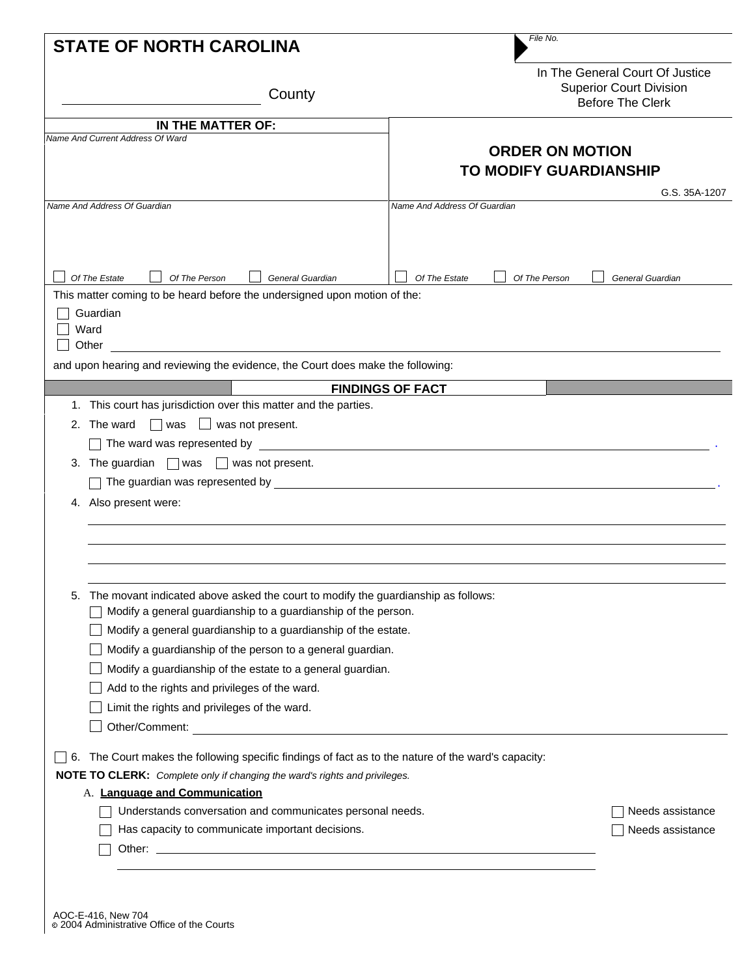| <b>STATE OF NORTH CAROLINA</b>                                                                                                                                                                                                                                                                                                                                                                                                         | File No.                                                                                     |
|----------------------------------------------------------------------------------------------------------------------------------------------------------------------------------------------------------------------------------------------------------------------------------------------------------------------------------------------------------------------------------------------------------------------------------------|----------------------------------------------------------------------------------------------|
| County                                                                                                                                                                                                                                                                                                                                                                                                                                 | In The General Court Of Justice<br><b>Superior Court Division</b><br><b>Before The Clerk</b> |
| IN THE MATTER OF:                                                                                                                                                                                                                                                                                                                                                                                                                      |                                                                                              |
| Name And Current Address Of Ward                                                                                                                                                                                                                                                                                                                                                                                                       | <b>ORDER ON MOTION</b><br><b>TO MODIFY GUARDIANSHIP</b><br>G.S. 35A-1207                     |
| Name And Address Of Guardian                                                                                                                                                                                                                                                                                                                                                                                                           | Name And Address Of Guardian                                                                 |
|                                                                                                                                                                                                                                                                                                                                                                                                                                        |                                                                                              |
| Of The Estate<br>Of The Person<br>General Guardian<br>This matter coming to be heard before the undersigned upon motion of the:                                                                                                                                                                                                                                                                                                        | Of The Estate<br>Of The Person<br>General Guardian                                           |
| Guardian<br>Ward<br>Other<br>and upon hearing and reviewing the evidence, the Court does make the following:                                                                                                                                                                                                                                                                                                                           |                                                                                              |
|                                                                                                                                                                                                                                                                                                                                                                                                                                        | <b>FINDINGS OF FACT</b>                                                                      |
| 1. This court has jurisdiction over this matter and the parties.<br>2. The ward $\Box$ was $\Box$ was not present.<br>3. The guardian $\Box$ was $\Box$ was not present.<br>$\Box$ The guardian was represented by $\Box$ . The state of the state of the state of the state of the state of the state of the state of the state of the state of the state of the state of the state of the state of the stat<br>4. Also present were: |                                                                                              |
| The movant indicated above asked the court to modify the guardianship as follows:<br>5.<br>Modify a general guardianship to a guardianship of the person.<br>Modify a general guardianship to a guardianship of the estate.<br>Modify a guardianship of the person to a general guardian.                                                                                                                                              |                                                                                              |
| Modify a guardianship of the estate to a general guardian.                                                                                                                                                                                                                                                                                                                                                                             |                                                                                              |
| Add to the rights and privileges of the ward.                                                                                                                                                                                                                                                                                                                                                                                          |                                                                                              |
| Limit the rights and privileges of the ward.                                                                                                                                                                                                                                                                                                                                                                                           |                                                                                              |
| Other/Comment: Website and Comments                                                                                                                                                                                                                                                                                                                                                                                                    |                                                                                              |
| 6. The Court makes the following specific findings of fact as to the nature of the ward's capacity:                                                                                                                                                                                                                                                                                                                                    |                                                                                              |
| NOTE TO CLERK: Complete only if changing the ward's rights and privileges.                                                                                                                                                                                                                                                                                                                                                             |                                                                                              |
| A. Language and Communication                                                                                                                                                                                                                                                                                                                                                                                                          |                                                                                              |
| Understands conversation and communicates personal needs.                                                                                                                                                                                                                                                                                                                                                                              | Needs assistance                                                                             |
| Has capacity to communicate important decisions.                                                                                                                                                                                                                                                                                                                                                                                       | Needs assistance                                                                             |
|                                                                                                                                                                                                                                                                                                                                                                                                                                        |                                                                                              |
|                                                                                                                                                                                                                                                                                                                                                                                                                                        |                                                                                              |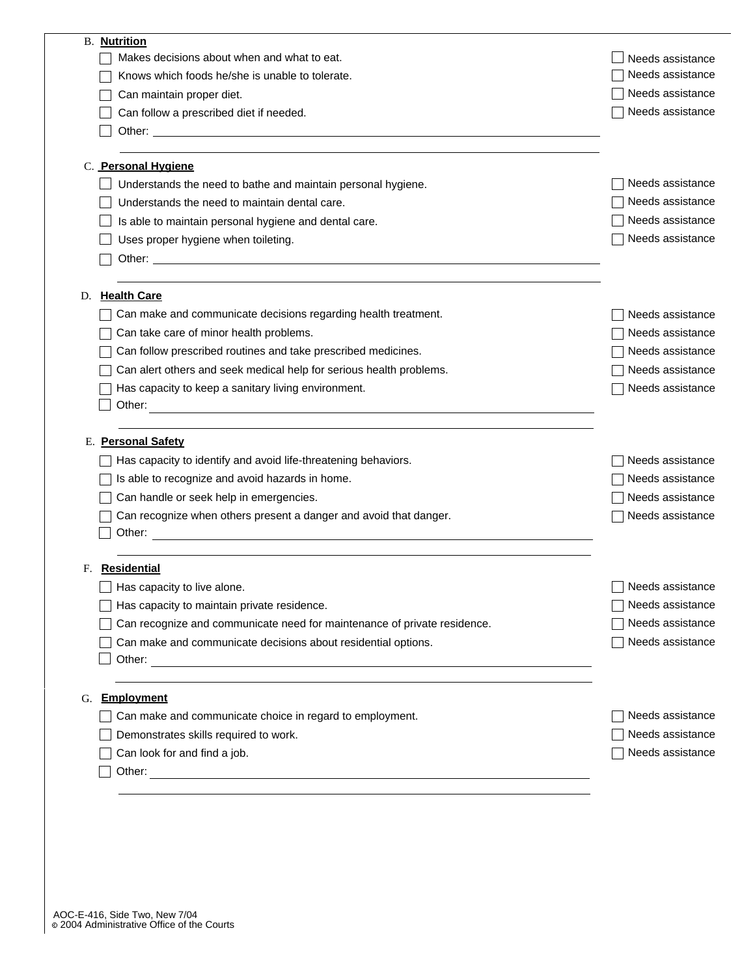| <b>B. Nutrition</b>                                                                                                                                                                                                                  |                  |
|--------------------------------------------------------------------------------------------------------------------------------------------------------------------------------------------------------------------------------------|------------------|
| Makes decisions about when and what to eat.                                                                                                                                                                                          | Needs assistance |
| Knows which foods he/she is unable to tolerate.                                                                                                                                                                                      | Needs assistance |
| Can maintain proper diet.                                                                                                                                                                                                            | Needs assistance |
| Can follow a prescribed diet if needed.                                                                                                                                                                                              | Needs assistance |
| Other: experience of the contract of the contract of the contract of the contract of the contract of the contract of the contract of the contract of the contract of the contract of the contract of the contract of the contr       |                  |
| C. Personal Hygiene                                                                                                                                                                                                                  |                  |
| Understands the need to bathe and maintain personal hygiene.                                                                                                                                                                         | Needs assistance |
| Understands the need to maintain dental care.                                                                                                                                                                                        | Needs assistance |
| Is able to maintain personal hygiene and dental care.                                                                                                                                                                                | Needs assistance |
| Uses proper hygiene when toileting.                                                                                                                                                                                                  | Needs assistance |
|                                                                                                                                                                                                                                      |                  |
| <b>Health Care</b>                                                                                                                                                                                                                   |                  |
| Can make and communicate decisions regarding health treatment.                                                                                                                                                                       | Needs assistance |
| Can take care of minor health problems.                                                                                                                                                                                              | Needs assistance |
| Can follow prescribed routines and take prescribed medicines.                                                                                                                                                                        | Needs assistance |
| Can alert others and seek medical help for serious health problems.                                                                                                                                                                  | Needs assistance |
| Has capacity to keep a sanitary living environment.                                                                                                                                                                                  | Needs assistance |
| Other:                                                                                                                                                                                                                               |                  |
| E. Personal Safety                                                                                                                                                                                                                   |                  |
| Has capacity to identify and avoid life-threatening behaviors.                                                                                                                                                                       | Needs assistance |
| Is able to recognize and avoid hazards in home.                                                                                                                                                                                      | Needs assistance |
| Can handle or seek help in emergencies.                                                                                                                                                                                              | Needs assistance |
| Can recognize when others present a danger and avoid that danger.                                                                                                                                                                    | Needs assistance |
|                                                                                                                                                                                                                                      |                  |
| <b>Residential</b><br>F.                                                                                                                                                                                                             |                  |
| Has capacity to live alone                                                                                                                                                                                                           | Needs assistance |
| Has capacity to maintain private residence.                                                                                                                                                                                          | Needs assistance |
| Can recognize and communicate need for maintenance of private residence.                                                                                                                                                             | Needs assistance |
| Can make and communicate decisions about residential options.                                                                                                                                                                        | Needs assistance |
|                                                                                                                                                                                                                                      |                  |
| <b>Employment</b><br>G.                                                                                                                                                                                                              |                  |
| Can make and communicate choice in regard to employment.                                                                                                                                                                             | Needs assistance |
| Demonstrates skills required to work.                                                                                                                                                                                                | Needs assistance |
| Can look for and find a job.                                                                                                                                                                                                         | Needs assistance |
| Other: <u>contract and contract and contract and contract and contract and contract and contract and contract and contract and contract and contract and contract and contract and contract and contract and contract and contra</u> |                  |
|                                                                                                                                                                                                                                      |                  |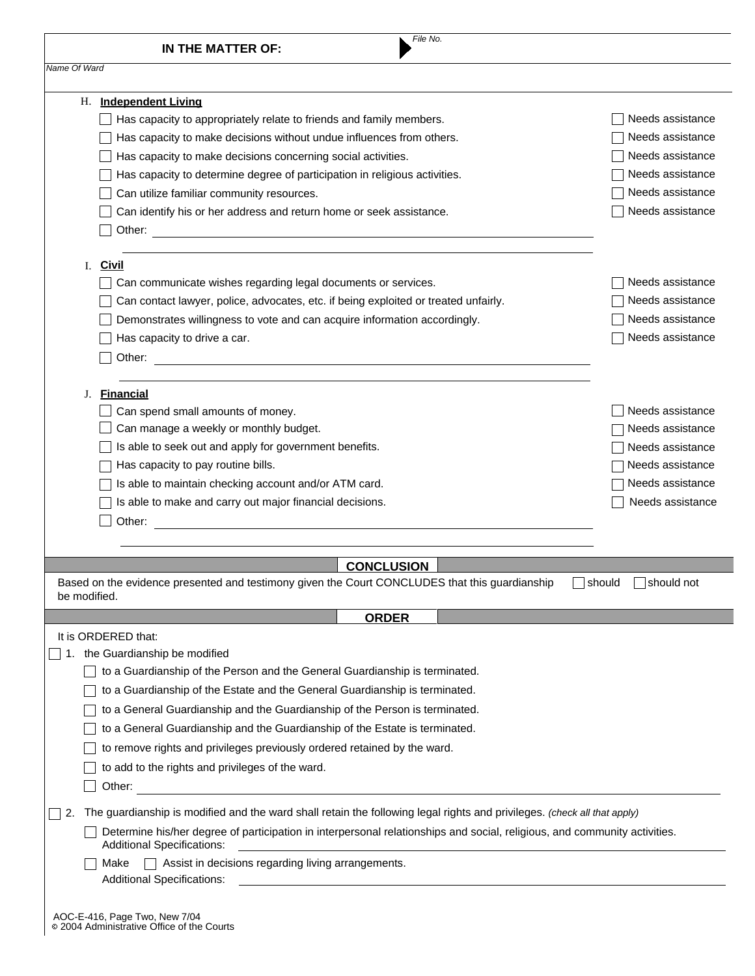|              | File No.<br>IN THE MATTER OF:                                                                                                                                  |                             |
|--------------|----------------------------------------------------------------------------------------------------------------------------------------------------------------|-----------------------------|
| Name Of Ward |                                                                                                                                                                |                             |
|              | H. Independent Living                                                                                                                                          |                             |
|              | Has capacity to appropriately relate to friends and family members.                                                                                            | Needs assistance            |
|              | Has capacity to make decisions without undue influences from others.                                                                                           | Needs assistance            |
|              | Has capacity to make decisions concerning social activities.                                                                                                   | Needs assistance            |
|              | Has capacity to determine degree of participation in religious activities.                                                                                     | Needs assistance            |
|              | Can utilize familiar community resources.                                                                                                                      | Needs assistance            |
|              | Can identify his or her address and return home or seek assistance.                                                                                            | Needs assistance            |
|              | I. Civil                                                                                                                                                       |                             |
|              | Can communicate wishes regarding legal documents or services.                                                                                                  | Needs assistance            |
|              | Can contact lawyer, police, advocates, etc. if being exploited or treated unfairly.                                                                            | Needs assistance            |
|              | Demonstrates willingness to vote and can acquire information accordingly.                                                                                      | Needs assistance            |
|              | Has capacity to drive a car.                                                                                                                                   | Needs assistance            |
|              | Other:                                                                                                                                                         |                             |
| J.           | <b>Financial</b>                                                                                                                                               |                             |
|              | Can spend small amounts of money.                                                                                                                              | Needs assistance            |
|              | Can manage a weekly or monthly budget.                                                                                                                         | Needs assistance            |
|              | Is able to seek out and apply for government benefits.                                                                                                         | Needs assistance            |
|              | Has capacity to pay routine bills.                                                                                                                             | Needs assistance            |
|              | Is able to maintain checking account and/or ATM card.                                                                                                          | Needs assistance            |
|              | Is able to make and carry out major financial decisions.                                                                                                       | Needs assistance            |
|              | Other:<br><u> 1980 - Jan Stein Stein Stein Stein Stein Stein Stein Stein Stein Stein Stein Stein Stein Stein Stein Stein S</u>                                 |                             |
|              | <b>CONCLUSION</b>                                                                                                                                              |                             |
| be modified. | Based on the evidence presented and testimony given the Court CONCLUDES that this guardianship                                                                 | $\Box$ should<br>should not |
|              | <b>ORDER</b>                                                                                                                                                   |                             |
|              | It is ORDERED that:                                                                                                                                            |                             |
|              | 1. the Guardianship be modified                                                                                                                                |                             |
|              | to a Guardianship of the Person and the General Guardianship is terminated.                                                                                    |                             |
|              | to a Guardianship of the Estate and the General Guardianship is terminated.                                                                                    |                             |
|              | to a General Guardianship and the Guardianship of the Person is terminated.                                                                                    |                             |
|              | to a General Guardianship and the Guardianship of the Estate is terminated.                                                                                    |                             |
|              | to remove rights and privileges previously ordered retained by the ward.                                                                                       |                             |
|              | to add to the rights and privileges of the ward.<br>Other:                                                                                                     |                             |
| 2.           | The guardianship is modified and the ward shall retain the following legal rights and privileges. (check all that apply)                                       |                             |
|              | Determine his/her degree of participation in interpersonal relationships and social, religious, and community activities.<br><b>Additional Specifications:</b> |                             |
|              |                                                                                                                                                                |                             |
|              | $\Box$ Assist in decisions regarding living arrangements.<br>Make                                                                                              |                             |